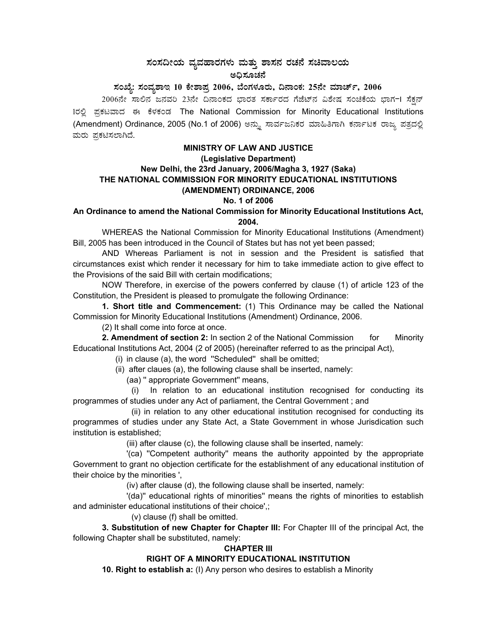# ಸಂಸದೀಯ ವ್ಯವಹಾರಗಳು ಮತ್ತು ಶಾಸನ ರಚನೆ ಸಚಿವಾಲಯ<br>ಅಧಿಸೂಚನೆ

# ಸಂಖ್ಯೆ: ಸಂವ್ನಶಾಇ 10 ಕೇಶಾಪ್ರ 2006, ಬೆಂಗಳೂರು, ದಿನಾಂಕ: 25ನೇ ಮಾರ್ಚ್, 2006

2006ನೇ ಸಾಲಿನ ಜನವರಿ 23ನೇ ದಿನಾಂಕದ ಭಾರತ ಸರ್ಕಾರದ ಗೆಜೆಟ್ನ ವಿಶೇಷ ಸಂಚಿಕೆಯ ಭಾಗ−I ಸೆಕ್ಷನ್ 1ರಲ್ಲಿ ಪ್ರಕಟವಾದ ಈ ಕೆಳಕಂಡ The National Commission for Minority Educational Institutions (Amendment) Ordinance, 2005 (No.1 of 2006) ಅನ್ನು ಸಾರ್ವಜನಿಕರ ಮಾಹಿತಿಗಾಗಿ ಕರ್ನಾಟಕ ರಾಜ್ಯ ಪತ್ರದಲ್ಲಿ ಮರು ಪ್ರಕಟಿಸಲಾಗಿದೆ.

#### **MINISTRY OF LAW AND JUSTICE**

#### (Legislative Department)

# New Delhi, the 23rd January, 2006/Magha 3, 1927 (Saka) THE NATIONAL COMMISSION FOR MINORITY EDUCATIONAL INSTITUTIONS (AMENDMENT) ORDINANCE, 2006

#### No. 1 of 2006

## An Ordinance to amend the National Commission for Minority Educational Institutions Act, 2004.

WHEREAS the National Commission for Minority Educational Institutions (Amendment) Bill, 2005 has been introduced in the Council of States but has not yet been passed;

AND Whereas Parliament is not in session and the President is satisfied that circumstances exist which render it necessary for him to take immediate action to give effect to the Provisions of the said Bill with certain modifications;

NOW Therefore, in exercise of the powers conferred by clause (1) of article 123 of the Constitution, the President is pleased to promulgate the following Ordinance:

1. Short title and Commencement: (1) This Ordinance may be called the National Commission for Minority Educational Institutions (Amendment) Ordinance, 2006.

(2) It shall come into force at once.

2. Amendment of section 2: In section 2 of the National Commission for Minority Educational Institutions Act, 2004 (2 of 2005) (hereinafter referred to as the principal Act),

(i) in clause (a), the word "Scheduled" shall be omitted;

(ii) after claues (a), the following clause shall be inserted, namely:

(aa) " appropriate Government" means,

In relation to an educational institution recognised for conducting its  $(i)$ programmes of studies under any Act of parliament, the Central Government; and

(ii) in relation to any other educational institution recognised for conducting its programmes of studies under any State Act, a State Government in whose Jurisdication such institution is established:

(iii) after clause (c), the following clause shall be inserted, namely:

'(ca) "Competent authority" means the authority appointed by the appropriate Government to grant no objection certificate for the establishment of any educational institution of their choice by the minorities',

(iv) after clause (d), the following clause shall be inserted, namely:

'(da)" educational rights of minorities" means the rights of minorities to establish and administer educational institutions of their choice',;

(v) clause (f) shall be omitted.

3. Substitution of new Chapter for Chapter III: For Chapter III of the principal Act, the following Chapter shall be substituted, namely:

## **CHAPTER III**

## RIGHT OF A MINORITY EDUCATIONAL INSTITUTION

10. Right to establish a: (I) Any person who desires to establish a Minority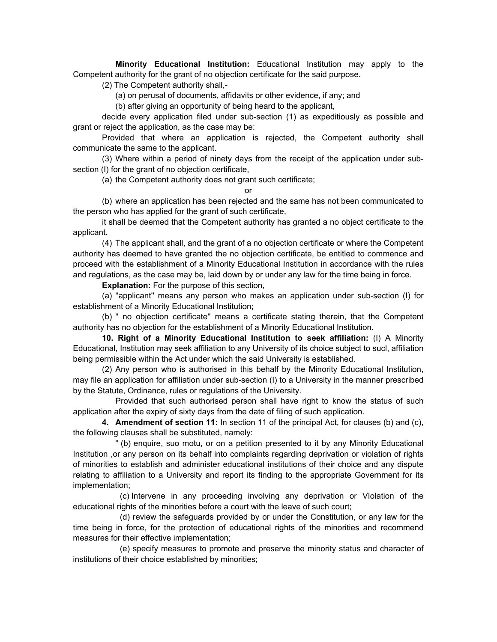**Minority Educational Institution:** Educational Institution may apply to the Competent authority for the grant of no objection certificate for the said purpose.

(2) The Competent authority shall,-

(a) on perusal of documents, affidavits or other evidence, if any; and

(b) after giving an opportunity of being heard to the applicant,

decide every application filed under sub-section (1) as expeditiously as possible and grant or reject the application, as the case may be:

Provided that where an application is rejected, the Competent authority shall communicate the same to the applicant.

(3) Where within a period of ninety days from the receipt of the application under subsection (I) for the grant of no objection certificate,

(a) the Competent authority does not grant such certificate;

or

(b) where an application has been rejected and the same has not been communicated to the person who has applied for the grant of such certificate,

it shall be deemed that the Competent authority has granted a no object certificate to the applicant.

(4) The applicant shall, and the grant of a no objection certificate or where the Competent authority has deemed to have granted the no objection certificate, be entitled to commence and proceed with the establishment of a Minority Educational Institution in accordance with the rules and regulations, as the case may be, laid down by or under any law for the time being in force.

**Explanation:** For the purpose of this section,

(a) ''applicant'' means any person who makes an application under sub-section (I) for establishment of a Minority Educational Institution;

(b) '' no objection certificate'' means a certificate stating therein, that the Competent authority has no objection for the establishment of a Minority Educational Institution.

**10. Right of a Minority Educational Institution to seek affiliation:** (I) A Minority Educational, Institution may seek affiliation to any University of its choice subject to sucl, affiliation being permissible within the Act under which the said University is established.

(2) Any person who is authorised in this behalf by the Minority Educational Institution, may file an application for affiliation under sub-section (I) to a University in the manner prescribed by the Statute, Ordinance, rules or regulations of the University.

Provided that such authorised person shall have right to know the status of such application after the expiry of sixty days from the date of filing of such application.

**4. Amendment of section 11:** In section 11 of the principal Act, for clauses (b) and (c), the following clauses shall be substituted, namely:

'' (b) enquire, suo motu, or on a petition presented to it by any Minority Educational Institution ,or any person on its behalf into complaints regarding deprivation or violation of rights of minorities to establish and administer educational institutions of their choice and any dispute relating to affiliation to a University and report its finding to the appropriate Government for its implementation;

(c) Intervene in any proceeding involving any deprivation or VIolation of the educational rights of the minorities before a court with the leave of such court;

(d) review the safeguards provided by or under the Constitution, or any law for the time being in force, for the protection of educational rights of the minorities and recommend measures for their effective implementation;

(e) specify measures to promote and preserve the minority status and character of institutions of their choice established by minorities;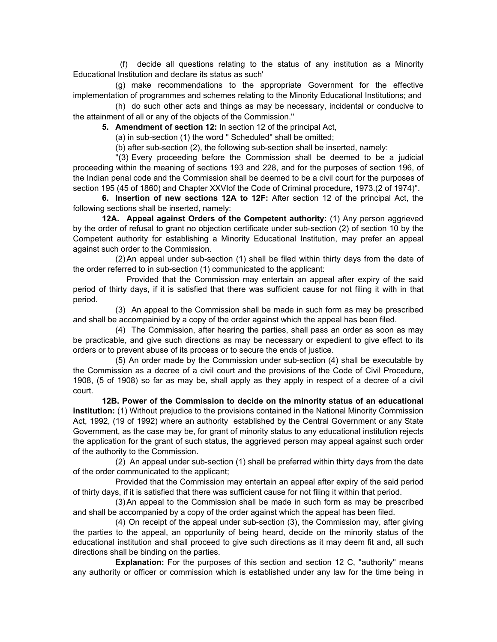(f) decide all questions relating to the status of any institution as a Minority Educational Institution and declare its status as such'

(g) make recommendations to the appropriate Government for the effective implementation of programmes and schemes relating to the Minority Educational Institutions; and

(h) do such other acts and things as may be necessary, incidental or conducive to the attainment of all or any of the objects of the Commission.''

**5. Amendment of section 12:** In section 12 of the principal Act,

(a) in sub-section (1) the word '' Scheduled'' shall be omitted;

(b) after sub-section (2), the following sub-section shall be inserted, namely:

''(3) Every proceeding before the Commission shall be deemed to be a judicial proceeding within the meaning of sections 193 and 228, and for the purposes of section 196, of the Indian penal code and the Commission shall be deemed to be a civil court for the purposes of section 195 (45 of 1860) and Chapter XXVIof the Code of Criminal procedure, 1973.(2 of 1974)''.

**6. Insertion of new sections 12A to 12F:** After section 12 of the principal Act, the following sections shall be inserted, namely:

**12A. Appeal against Orders of the Competent authority:** (1) Any person aggrieved by the order of refusal to grant no objection certificate under sub-section (2) of section 10 by the Competent authority for establishing a Minority Educational Institution, may prefer an appeal against such order to the Commission.

(2) An appeal under sub-section (1) shall be filed within thirty days from the date of the order referred to in sub-section (1) communicated to the applicant:

Provided that the Commission may entertain an appeal after expiry of the said period of thirty days, if it is satisfied that there was sufficient cause for not filing it with in that period.

(3) An appeal to the Commission shall be made in such form as may be prescribed and shall be accompainied by a copy of the order against which the appeal has been filed.

(4) The Commission, after hearing the parties, shall pass an order as soon as may be practicable, and give such directions as may be necessary or expedient to give effect to its orders or to prevent abuse of its process or to secure the ends of justice.

(5) An order made by the Commission under sub-section (4) shall be executable by the Commission as a decree of a civil court and the provisions of the Code of Civil Procedure, 1908, (5 of 1908) so far as may be, shall apply as they apply in respect of a decree of a civil court.

**12B. Power of the Commission to decide on the minority status of an educational institution:** (1) Without prejudice to the provisions contained in the National Minority Commission Act, 1992, (19 of 1992) where an authority established by the Central Government or any State Government, as the case may be, for grant of minority status to any educational institution rejects the application for the grant of such status, the aggrieved person may appeal against such order of the authority to the Commission.

(2) An appeal under sub-section (1) shall be preferred within thirty days from the date of the order communicated to the applicant;

Provided that the Commission may entertain an appeal after expiry of the said period of thirty days, if it is satisfied that there was sufficient cause for not filing it within that period.

(3) An appeal to the Commission shall be made in such form as may be prescribed and shall be accompanied by a copy of the order against which the appeal has been filed.

(4) On receipt of the appeal under sub-section (3), the Commission may, after giving the parties to the appeal, an opportunity of being heard, decide on the minority status of the educational institution and shall proceed to give such directions as it may deem fit and, all such directions shall be binding on the parties.

**Explanation:** For the purposes of this section and section 12 C, "authority" means any authority or officer or commission which is established under any law for the time being in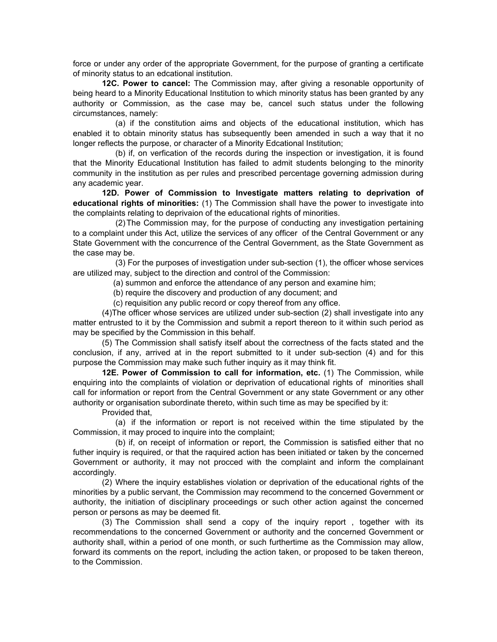force or under any order of the appropriate Government, for the purpose of granting a certificate of minority status to an edcational institution.

**12C. Power to cancel:** The Commission may, after giving a resonable opportunity of being heard to a Minority Educational Institution to which minority status has been granted by any authority or Commission, as the case may be, cancel such status under the following circumstances, namely:

(a) if the constitution aims and objects of the educational institution, which has enabled it to obtain minority status has subsequently been amended in such a way that it no longer reflects the purpose, or character of a Minority Edcational Institution;

(b) if, on verfication of the records during the inspection or investigation, it is found that the Minority Educational Institution has failed to admit students belonging to the minority community in the institution as per rules and prescribed percentage governing admission during any academic year.

**12D. Power of Commission to Investigate matters relating to deprivation of educational rights of minorities:** (1) The Commission shall have the power to investigate into the complaints relating to deprivaion of the educational rights of minorities.

 (2) The Commission may, for the purpose of conducting any investigation pertaining to a complaint under this Act, utilize the services of any officer of the Central Government or any State Government with the concurrence of the Central Government, as the State Government as the case may be.

(3) For the purposes of investigation under sub-section (1), the officer whose services are utilized may, subject to the direction and control of the Commission:

(a) summon and enforce the attendance of any person and examine him;

(b) require the discovery and production of any document; and

(c) requisition any public record or copy thereof from any office.

(4)The officer whose services are utilized under sub-section (2) shall investigate into any matter entrusted to it by the Commission and submit a report thereon to it within such period as may be specified by the Commission in this behalf.

(5) The Commission shall satisfy itself about the correctness of the facts stated and the conclusion, if any, arrived at in the report submitted to it under sub-section (4) and for this purpose the Commission may make such futher inquiry as it may think fit.

**12E. Power of Commission to call for information, etc.** (1) The Commission, while enquiring into the complaints of violation or deprivation of educational rights of minorities shall call for information or report from the Central Government or any state Government or any other authority or organisation subordinate thereto, within such time as may be specified by it:

Provided that,

(a) if the information or report is not received within the time stipulated by the Commission, it may proced to inquire into the complaint;

(b) if, on receipt of information or report, the Commission is satisfied either that no futher inquiry is required, or that the raquired action has been initiated or taken by the concerned Government or authority, it may not procced with the complaint and inform the complainant accordingly.

(2) Where the inquiry establishes violation or deprivation of the educational rights of the minorities by a public servant, the Commission may recommend to the concerned Government or authority, the initiation of disciplinary proceedings or such other action against the concerned person or persons as may be deemed fit.

(3) The Commission shall send a copy of the inquiry report , together with its recommendations to the concerned Government or authority and the concerned Government or authority shall, within a period of one month, or such furthertime as the Commission may allow, forward its comments on the report, including the action taken, or proposed to be taken thereon, to the Commission.